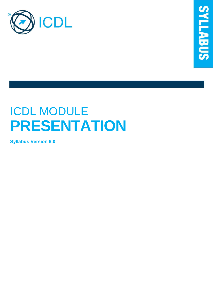

# ICDL MODULE **PRESENTATION**

**Syllabus Version 6.0**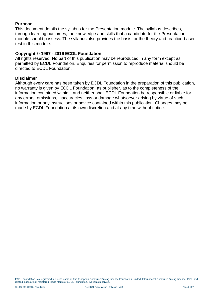#### **Purpose**

This document details the syllabus for the Presentation module. The syllabus describes, through learning outcomes, the knowledge and skills that a candidate for the Presentation module should possess. The syllabus also provides the basis for the theory and practice-based test in this module.

#### **Copyright © 1997 - 2016 ECDL Foundation**

All rights reserved. No part of this publication may be reproduced in any form except as permitted by ECDL Foundation. Enquiries for permission to reproduce material should be directed to ECDL Foundation.

#### **Disclaimer**

Although every care has been taken by ECDL Foundation in the preparation of this publication, no warranty is given by ECDL Foundation, as publisher, as to the completeness of the information contained within it and neither shall ECDL Foundation be responsible or liable for any errors, omissions, inaccuracies, loss or damage whatsoever arising by virtue of such information or any instructions or advice contained within this publication. Changes may be made by ECDL Foundation at its own discretion and at any time without notice.

ECDL Foundation is a registered business name of The European Computer Driving Licence Foundation Limited. International Computer Driving Licence, ICDL and related logos are all registered Trade Marks of ECDL Foundation. All rights reserved.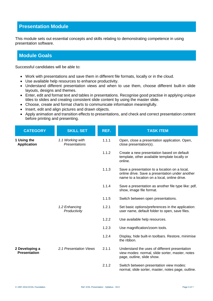## **Presentation Module**

This module sets out essential concepts and skills relating to demonstrating competence in using presentation software.

### **Module Goals**

Successful candidates will be able to:

- Work with presentations and save them in different file formats, locally or in the cloud.
- Use available help resources to enhance productivity.
- Understand different presentation views and when to use them, choose different built-in slide layouts, designs and themes.
- Enter, edit and format text and tables in presentations. Recognise good practise in applying unique titles to slides and creating consistent slide content by using the master slide.
- Choose, create and format charts to communicate information meaningfully.
- Insert, edit and align pictures and drawn objects.
- Apply animation and transition effects to presentations, and check and correct presentation content before printing and presenting.

| <b>CATEGORY</b>                       | <b>SKILL SET</b>                  | REF.  | <b>TASK ITEM</b>                                                                                                                                 |
|---------------------------------------|-----------------------------------|-------|--------------------------------------------------------------------------------------------------------------------------------------------------|
| 1 Using the<br><b>Application</b>     | 1.1 Working with<br>Presentations | 1.1.1 | Open, close a presentation application. Open,<br>close presentation(s).                                                                          |
|                                       |                                   | 1.1.2 | Create a new presentation based on default<br>template, other available template locally or<br>online.                                           |
|                                       |                                   | 1.1.3 | Save a presentation to a location on a local,<br>online drive. Save a presentation under another<br>name to a location on a local, online drive. |
|                                       |                                   | 1.1.4 | Save a presentation as another file type like: pdf,<br>show, image file format.                                                                  |
|                                       |                                   | 1.1.5 | Switch between open presentations.                                                                                                               |
|                                       | 1.2 Enhancing<br>Productivity     | 1.2.1 | Set basic options/preferences in the application:<br>user name, default folder to open, save files.                                              |
|                                       |                                   | 1.2.2 | Use available help resources.                                                                                                                    |
|                                       |                                   | 1.2.3 | Use magnification/zoom tools.                                                                                                                    |
|                                       |                                   | 1.2.4 | Display, hide built-in toolbars. Restore, minimise<br>the ribbon.                                                                                |
| 2 Developing a<br><b>Presentation</b> | 2.1 Presentation Views            | 2.1.1 | Understand the uses of different presentation<br>view modes: normal, slide sorter, master, notes<br>page, outline, slide show.                   |
|                                       |                                   | 2.1.2 | Switch between presentation view modes:<br>normal, slide sorter, master, notes page, outline.                                                    |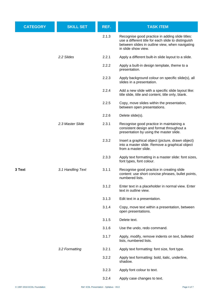| <b>CATEGORY</b> | <b>SKILL SET</b>  | REF.  | <b>TASK ITEM</b>                                                                                                                                                                 |
|-----------------|-------------------|-------|----------------------------------------------------------------------------------------------------------------------------------------------------------------------------------|
|                 |                   | 2.1.3 | Recognise good practice in adding slide titles:<br>use a different title for each slide to distinguish<br>between slides in outline view, when navigating<br>in slide show view. |
|                 | 2.2 Slides        | 2.2.1 | Apply a different built-in slide layout to a slide.                                                                                                                              |
|                 |                   | 2.2.2 | Apply a built-in design template, theme to a<br>presentation.                                                                                                                    |
|                 |                   | 2.2.3 | Apply background colour on specific slide(s), all<br>slides in a presentation.                                                                                                   |
|                 |                   | 2.2.4 | Add a new slide with a specific slide layout like:<br>title slide, title and content, title only, blank.                                                                         |
|                 |                   | 2.2.5 | Copy, move slides within the presentation,<br>between open presentations.                                                                                                        |
|                 |                   | 2.2.6 | Delete slide(s).                                                                                                                                                                 |
|                 | 2.3 Master Slide  | 2.3.1 | Recognise good practice in maintaining a<br>consistent design and format throughout a<br>presentation by using the master slide.                                                 |
|                 |                   | 2.3.2 | Insert a graphical object (picture, drawn object)<br>into a master slide. Remove a graphical object<br>from a master slide.                                                      |
|                 |                   | 2.3.3 | Apply text formatting in a master slide: font sizes,<br>font types, font colour.                                                                                                 |
| 3 Text          | 3.1 Handling Text | 3.1.1 | Recognise good practice in creating slide<br>content: use short concise phrases, bullet points,<br>numbered lists.                                                               |
|                 |                   | 3.1.2 | Enter text in a placeholder in normal view. Enter<br>text in outline view.                                                                                                       |
|                 |                   | 3.1.3 | Edit text in a presentation.                                                                                                                                                     |
|                 |                   | 3.1.4 | Copy, move text within a presentation, between<br>open presentations.                                                                                                            |
|                 |                   | 3.1.5 | Delete text.                                                                                                                                                                     |
|                 |                   | 3.1.6 | Use the undo, redo command.                                                                                                                                                      |
|                 |                   | 3.1.7 | Apply, modify, remove indents on text, bulleted<br>lists, numbered lists.                                                                                                        |
|                 | 3.2 Formatting    | 3.2.1 | Apply text formatting: font size, font type.                                                                                                                                     |
|                 |                   | 3.2.2 | Apply text formatting: bold, italic, underline,<br>shadow.                                                                                                                       |
|                 |                   | 3.2.3 | Apply font colour to text.                                                                                                                                                       |
|                 |                   | 3.2.4 | Apply case changes to text.                                                                                                                                                      |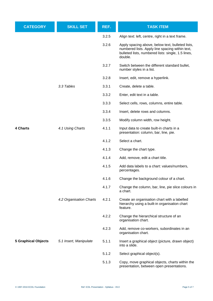| <b>CATEGORY</b>            | <b>SKILL SET</b>        | REF.  | <b>TASK ITEM</b>                                                                                                                                                     |
|----------------------------|-------------------------|-------|----------------------------------------------------------------------------------------------------------------------------------------------------------------------|
|                            |                         | 3.2.5 | Align text: left, centre, right in a text frame.                                                                                                                     |
|                            |                         | 3.2.6 | Apply spacing above, below text, bulleted lists,<br>numbered lists. Apply line spacing within text,<br>bulleted lists, numbered lists: single, 1.5 lines,<br>double. |
|                            |                         | 3.2.7 | Switch between the different standard bullet,<br>number styles in a list.                                                                                            |
|                            |                         | 3.2.8 | Insert, edit, remove a hyperlink.                                                                                                                                    |
|                            | 3.3 Tables              | 3.3.1 | Create, delete a table.                                                                                                                                              |
|                            |                         | 3.3.2 | Enter, edit text in a table.                                                                                                                                         |
|                            |                         | 3.3.3 | Select cells, rows, columns, entire table.                                                                                                                           |
|                            |                         | 3.3.4 | Insert, delete rows and columns.                                                                                                                                     |
| 4 Charts                   |                         | 3.3.5 | Modify column width, row height.                                                                                                                                     |
|                            | 4.1 Using Charts        | 4.1.1 | Input data to create built-in charts in a<br>presentation: column, bar, line, pie.                                                                                   |
|                            |                         | 4.1.2 | Select a chart.                                                                                                                                                      |
|                            |                         | 4.1.3 | Change the chart type.                                                                                                                                               |
|                            |                         | 4.1.4 | Add, remove, edit a chart title.                                                                                                                                     |
|                            |                         | 4.1.5 | Add data labels to a chart: values/numbers,<br>percentages.                                                                                                          |
|                            |                         | 4.1.6 | Change the background colour of a chart.                                                                                                                             |
|                            |                         | 4.1.7 | Change the column, bar, line, pie slice colours in<br>a chart.                                                                                                       |
|                            | 4.2 Organisation Charts | 4.2.1 | Create an organisation chart with a labelled<br>hierarchy using a built-in organisation chart<br>feature.                                                            |
|                            |                         | 4.2.2 | Change the hierarchical structure of an<br>organisation chart.                                                                                                       |
|                            |                         | 4.2.3 | Add, remove co-workers, subordinates in an<br>organisation chart.                                                                                                    |
| <b>5 Graphical Objects</b> | 5.1 Insert, Manipulate  | 5.1.1 | Insert a graphical object (picture, drawn object)<br>into a slide.                                                                                                   |
|                            |                         | 5.1.2 | Select graphical object(s).                                                                                                                                          |
|                            |                         | 5.1.3 | Copy, move graphical objects, charts within the<br>presentation, between open presentations.                                                                         |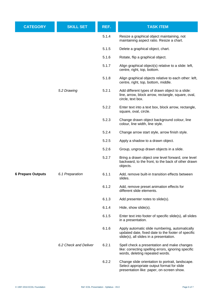| <b>CATEGORY</b>          | <b>SKILL SET</b>      | REF.  | <b>TASK ITEM</b>                                                                                                                                |
|--------------------------|-----------------------|-------|-------------------------------------------------------------------------------------------------------------------------------------------------|
|                          |                       | 5.1.4 | Resize a graphical object maintaining, not<br>maintaining aspect ratio. Resize a chart.                                                         |
|                          |                       | 5.1.5 | Delete a graphical object, chart.                                                                                                               |
|                          |                       | 5.1.6 | Rotate, flip a graphical object.                                                                                                                |
| 5.2 Drawing              |                       | 5.1.7 | Align graphical object(s) relative to a slide: left,<br>centre, right, top, bottom.                                                             |
|                          |                       | 5.1.8 | Align graphical objects relative to each other: left,<br>centre, right, top, bottom, middle.                                                    |
|                          |                       | 5.2.1 | Add different types of drawn object to a slide:<br>line, arrow, block arrow, rectangle, square, oval,<br>circle, text box.                      |
|                          |                       | 5.2.2 | Enter text into a text box, block arrow, rectangle,<br>square, oval, circle.                                                                    |
|                          |                       | 5.2.3 | Change drawn object background colour, line<br>colour, line width, line style.                                                                  |
|                          |                       | 5.2.4 | Change arrow start style, arrow finish style.                                                                                                   |
|                          |                       | 5.2.5 | Apply a shadow to a drawn object.                                                                                                               |
|                          |                       | 5.2.6 | Group, ungroup drawn objects in a slide.                                                                                                        |
|                          |                       | 5.2.7 | Bring a drawn object one level forward, one level<br>backward, to the front, to the back of other drawn<br>objects.                             |
| <b>6 Prepare Outputs</b> | 6.1 Preparation       | 6.1.1 | Add, remove built-in transition effects between<br>slides.                                                                                      |
|                          |                       | 6.1.2 | Add, remove preset animation effects for<br>different slide elements.                                                                           |
|                          |                       | 6.1.3 | Add presenter notes to slide(s).                                                                                                                |
|                          |                       | 6.1.4 | Hide, show slide(s).                                                                                                                            |
|                          |                       | 6.1.5 | Enter text into footer of specific slide(s), all slides<br>in a presentation.                                                                   |
|                          |                       | 6.1.6 | Apply automatic slide numbering, automatically<br>updated date, fixed date to the footer of specific<br>slide(s), all slides in a presentation. |
|                          | 6.2 Check and Deliver | 6.2.1 | Spell check a presentation and make changes<br>like: correcting spelling errors, ignoring specific<br>words, deleting repeated words.           |
|                          |                       | 6.2.2 | Change slide orientation to portrait, landscape.<br>Select appropriate output format for slide<br>presentation like: paper, on-screen show.     |